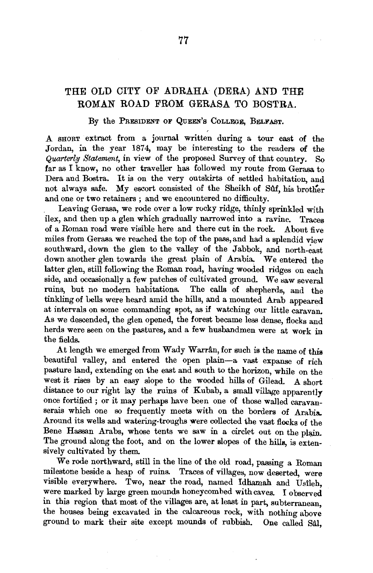## THE OLD CITY OF ADRAHA (DERA) AND THE ROMAN ROAD FROM GERASA TO BOSTRA.

By the PREsiDENT OF QuEEN's CoLLEGE, BELFAST.

A SHORT extract from a journal written during a tour east of the Jordan, in the year 1874, may be interesting to the readers of the *Quarterly Statement,* in view of the proposed Survey of that country. So far as I know, no other traveller has followed my route from Gerasa to an and Dera and Boston. It is on the very outside in the very outside the very outside that it is one of the very substitution, and  $\alpha$ Dera and Bostra. It is on the very outskirts of settled habitation, and not always safe. My escort consisted of the Sheikh of Sûf, his brother and one or two retainers ; and we encountered no difficulty.

Leaving Gerasa, we rode over a low rocky ridge, thinly sprinkled with ilex, and then up a glen which gradually narrowed into a ravine. Traces of a Roman road were visible here and there cut in the rock. About five miles from Gerasa we reached the top of the pass, and had a splendid view southward, down the glen to the valley of the Jabbok, and north-east down another glen towards the great plain of Arabia. We entered the latter glen, still following the Roman road, having wooded ridges on each side, and occurs and other will also a few patches of cultivated ground. We include the contract of the several states of cultivated ground. We include the contract of the several states of the contract of the contract of ruins, and occasionally a few patches of culturated ground. We saw several ruins, but no modern habitations. The calls of shepherds, and the tinkling of bells were heard amid the hills, and a mounted Arab appeared at intervals on some commanding spot, as if watching our little caravan. As we descended, the glen opened, the forest became less dense, flocks and here we descended, the gren opened, the rorest became ress dense, nocks and the were  $\frac{1}{2}$ the fields.<br>At length we emerged from Wady Warrân, for such is the name of this

beautiful valley, and entered the open plain-a vast expanse of rich pasture land, extending on the east and south to the horizon, while on the west it rises by an easy slope to the wooded hills of Gilead. A short distance to our right lay the ruins of Kubab, a small village apparently once fortified ; or it may perhaps have been one of those walled caravanserais which one so frequently meets with on the borders of Arabia. Around its wells and watering-troughs were collected the vast flocks of the Bene Hassan Arabs, whose tents we saw in a circlet out on the plain. The mass and maps, whose tents we saw in a circle out on the pigm. sively culturated by the root, sively cultivated by them.<br>We rode northward, still in the line of the old road, passing a Roman

milestone beside a heap of ruins. Traces of villages, now deserted, were visible everywhere. Two, near the road, named Idhamah and Usileh, were marked by large green mounds honeycombed with caves. I observed in this region that most of the villages are, at least in part, subterranean, the houses being excavated in the calcareous rock, with nothing above ground to mark their site except mounds of rubbish. One called Sal.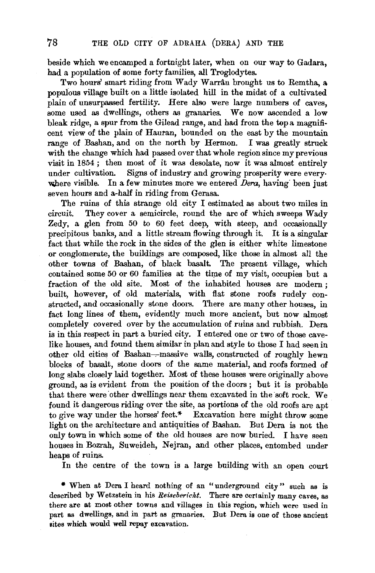beside which we encamped a fortnight later, when on our way to Gadara, had a population of some forty families, all Troglodytes.

Two hours' smart riding from Wady Warrân brought us to Remtha, a. populous village built on a little isolated hill in the midst of a cultivated plain of unsurpassed fertility. Here also were large numbers of caves, some used as dwellings, others as granaries. We now ascended a low bleak ridge, a spur from the Gilead range, and had from the top a magnificent view of the plain of Hauran, bounded on the east by the mountain range of Bashan, and on the north by Hermon. I was greatly struck with the change which had passed over that whole region since my previous visit in 1854; then most of it was desolate, now it was almost entirely under cultivation. Signs of industry and growing prosperity were everywhere visible. In a few minutes more we entered *Dera*, having been just seven hours and a-half in riding from Gerasa.

The ruins of this strange old city I estimated as about two miles in circuit. They cover a semicircle, round the arc of which sweeps Wady Zedy, a glen from 50 to 60 feet deep, with steep, and occasionally precipitous banks, and a little stream flowing through it. It is a singular fact that while the rock in the sides of the glen is either white limestone or conglomerate, the buildings are composed, like those in almost all the other towns of Bashan, of black basalt. The present village, which contained some 50 or 60 families at the time of my visit, occupies but a fraction of the old site. Most of the inhabited houses are modern ; built, however, of old materials, with flat stone roofs rudely constructed, and occasionally stone doors. There are many other houses, in fact long lines of them, evidently much more ancient, but now almost completely covered over by the accumulation of ruins and rubbish. Dera is in this respect in part a buried city. I entered one or two of those cavelike houses, and found them similar in plan and style to those I had seen in other old cities of Bashan--massive walls, constructed of roughly hewn blocks of basalt, stone doors of the same material, and roofs formed of long slabs closely laid together. Most of these houses were originally above ground, as is evident from the position of the doors ; but it is probable that there were other dwellings near them excavated in the soft rock. We found it dangerous riding over the site, as portions of the old roofs are apt to give way under the horses' feet.\* Excavation here might throw some light on the architecture and antiquities of Bashan. But Dera is not the only town in which some of the old houses are now buried. I have seen houses in Bozrah, Suweideh, Nejran, and other places, entombed under heaps of ruins.

In the centre of the town is a large building with an open court

\* When at Dera I heard nothing of an "underground city" such as is described by Wetzstein in his *Reisebericht*. There are certainly many caves, as there are at most other towns and villages in this region, which were used in part as dwellings, and in part as granaries. But Dera is one of those ancient sites which would well repay excavation.